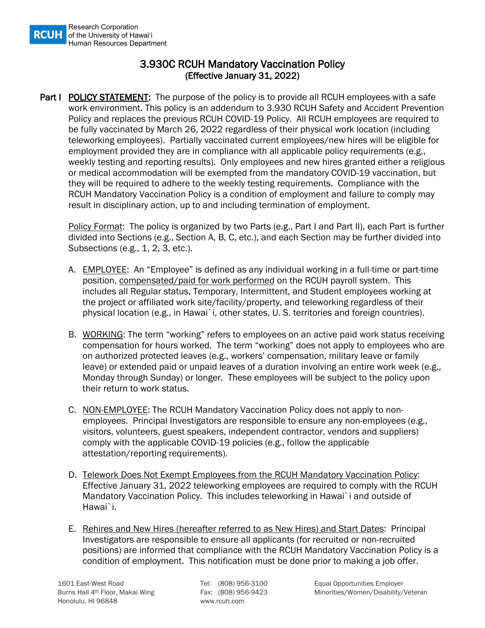## 3.930C RCUH Mandatory Vaccination Policy (Effective January 31, 2022)

**Part I POLICY STATEMENT:** The purpose of the policy is to provide all RCUH employees with a safe work environment. This policy is an addendum to 3.930 RCUH Safety and Accident Prevention Policy and replaces the previous RCUH COVID-19 Policy. All RCUH employees are required to be fully vaccinated by March 26, 2022 regardless of their physical work location (including teleworking employees). Partially vaccinated current employees/new hires will be eligible for employment provided they are in compliance with all applicable policy requirements (e.g., weekly testing and reporting results). Only employees and new hires granted either a religious or medical accommodation will be exempted from the mandatory COVID-19 vaccination, but they will be required to adhere to the weekly testing requirements. Compliance with the RCUH Mandatory Vaccination Policy is a condition of employment and failure to comply may result in disciplinary action, up to and including termination of employment.

Policy Format: The policy is organized by two Parts (e.g., Part I and Part II), each Part is further divided into Sections (e.g., Section A, B, C, etc.), and each Section may be further divided into Subsections (e.g., 1, 2, 3, etc.).

- A. EMPLOYEE: An "Employee" is defined as any individual working in a full-time or part-time position, compensated/paid for work performed on the RCUH payroll system. This includes all Regular status, Temporary, Intermittent, and Student employees working at the project or affiliated work site/facility/property, and teleworking regardless of their physical location (e.g., in Hawai`i, other states, U. S. territories and foreign countries).
- B. WORKING: The term "working" refers to employees on an active paid work status receiving compensation for hours worked. The term "working" does not apply to employees who are on authorized protected leaves (e.g., workers' compensation, military leave or family leave) or extended paid or unpaid leaves of a duration involving an entire work week (e.g., Monday through Sunday) or longer. These employees will be subject to the policy upon their return to work status.
- C. NON-EMPLOYEE: The RCUH Mandatory Vaccination Policy does not apply to nonemployees. Principal Investigators are responsible to ensure any non-employees (e.g., visitors, volunteers, guest speakers, independent contractor, vendors and suppliers) comply with the applicable COVID-19 policies (e.g., follow the applicable attestation/reporting requirements).
- D. Telework Does Not Exempt Employees from the RCUH Mandatory Vaccination Policy: Effective January 31, 2022 teleworking employees are required to comply with the RCUH Mandatory Vaccination Policy. This includes teleworking in Hawai`i and outside of Hawai`i.
- E. Rehires and New Hires (hereafter referred to as New Hires) and Start Dates: Principal Investigators are responsible to ensure all applicants (for recruited or non-recruited positions) are informed that compliance with the RCUH Mandatory Vaccination Policy is a condition of employment. This notification must be done prior to making a job offer.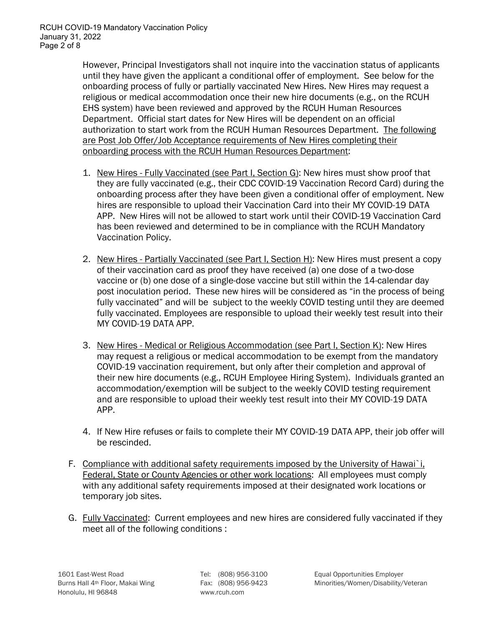However, Principal Investigators shall not inquire into the vaccination status of applicants until they have given the applicant a conditional offer of employment. See below for the onboarding process of fully or partially vaccinated New Hires. New Hires may request a religious or medical accommodation once their new hire documents (e.g., on the RCUH EHS system) have been reviewed and approved by the RCUH Human Resources Department. Official start dates for New Hires will be dependent on an official authorization to start work from the RCUH Human Resources Department. The following are Post Job Offer/Job Acceptance requirements of New Hires completing their onboarding process with the RCUH Human Resources Department:

- 1. New Hires Fully Vaccinated (see Part I, Section G): New hires must show proof that they are fully vaccinated (e.g., their CDC COVID-19 Vaccination Record Card) during the onboarding process after they have been given a conditional offer of employment. New hires are responsible to upload their Vaccination Card into their MY COVID-19 DATA APP. New Hires will not be allowed to start work until their COVID-19 Vaccination Card has been reviewed and determined to be in compliance with the RCUH Mandatory Vaccination Policy.
- 2. New Hires Partially Vaccinated (see Part I, Section H): New Hires must present a copy of their vaccination card as proof they have received (a) one dose of a two-dose vaccine or (b) one dose of a single-dose vaccine but still within the 14-calendar day post inoculation period. These new hires will be considered as "in the process of being fully vaccinated" and will be subject to the weekly COVID testing until they are deemed fully vaccinated. Employees are responsible to upload their weekly test result into their MY COVID-19 DATA APP.
- 3. New Hires Medical or Religious Accommodation (see Part I, Section K): New Hires may request a religious or medical accommodation to be exempt from the mandatory COVID-19 vaccination requirement, but only after their completion and approval of their new hire documents (e.g., RCUH Employee Hiring System). Individuals granted an accommodation/exemption will be subject to the weekly COVID testing requirement and are responsible to upload their weekly test result into their MY COVID-19 DATA APP.
- 4. If New Hire refuses or fails to complete their MY COVID-19 DATA APP, their job offer will be rescinded.
- F. Compliance with additional safety requirements imposed by the University of Hawai`i, Federal, State or County Agencies or other work locations: All employees must comply with any additional safety requirements imposed at their designated work locations or temporary job sites.
- G. Fully Vaccinated: Current employees and new hires are considered fully vaccinated if they meet all of the following conditions :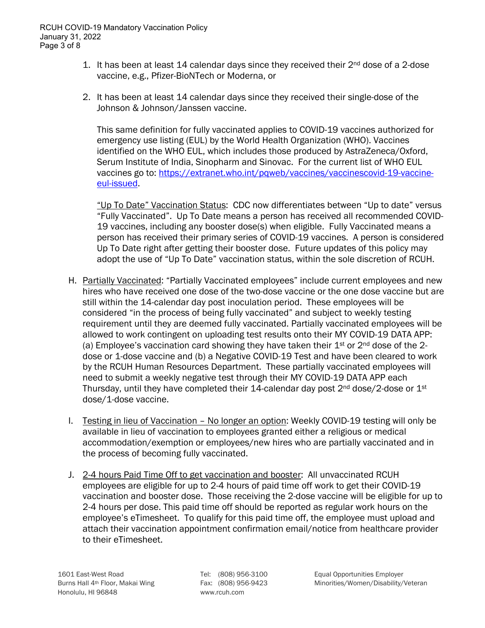- 1. It has been at least 14 calendar days since they received their  $2^{nd}$  dose of a 2-dose vaccine, e.g., Pfizer-BioNTech or Moderna, or
- 2. It has been at least 14 calendar days since they received their single-dose of the Johnson & Johnson/Janssen vaccine.

This same definition for fully vaccinated applies to COVID-19 vaccines authorized for emergency use listing (EUL) by the World Health Organization (WHO). Vaccines identified on the WHO EUL, which includes those produced by AstraZeneca/Oxford, Serum Institute of India, Sinopharm and Sinovac. For the current list of WHO EUL vaccines go to: [https://extranet.who.int/pqweb/vaccines/vaccinescovid-19-vaccine](https://extranet.who.int/pqweb/vaccines/vaccinescovid-19-vaccine-eul-issued)[eul-issued.](https://extranet.who.int/pqweb/vaccines/vaccinescovid-19-vaccine-eul-issued)

"Up To Date" Vaccination Status: CDC now differentiates between "Up to date" versus "Fully Vaccinated". Up To Date means a person has received all recommended COVID-19 vaccines, including any booster dose(s) when eligible. Fully Vaccinated means a person has received their primary series of COVID-19 vaccines. A person is considered Up To Date right after getting their booster dose. Future updates of this policy may adopt the use of "Up To Date" vaccination status, within the sole discretion of RCUH.

- H. Partially Vaccinated: "Partially Vaccinated employees" include current employees and new hires who have received one dose of the two-dose vaccine or the one dose vaccine but are still within the 14-calendar day post inoculation period. These employees will be considered "in the process of being fully vaccinated" and subject to weekly testing requirement until they are deemed fully vaccinated. Partially vaccinated employees will be allowed to work contingent on uploading test results onto their MY COVID-19 DATA APP: (a) Employee's vaccination card showing they have taken their  $1<sup>st</sup>$  or  $2<sup>nd</sup>$  dose of the 2dose or 1-dose vaccine and (b) a Negative COVID-19 Test and have been cleared to work by the RCUH Human Resources Department. These partially vaccinated employees will need to submit a weekly negative test through their MY COVID-19 DATA APP each Thursday, until they have completed their 14-calendar day post  $2<sup>nd</sup>$  dose/2-dose or  $1<sup>st</sup>$ dose/1-dose vaccine.
- I. Testing in lieu of Vaccination No longer an option: Weekly COVID-19 testing will only be available in lieu of vaccination to employees granted either a religious or medical accommodation/exemption or employees/new hires who are partially vaccinated and in the process of becoming fully vaccinated.
- J. 2-4 hours Paid Time Off to get vaccination and booster: All unvaccinated RCUH employees are eligible for up to 2-4 hours of paid time off work to get their COVID-19 vaccination and booster dose. Those receiving the 2-dose vaccine will be eligible for up to 2-4 hours per dose. This paid time off should be reported as regular work hours on the employee's eTimesheet. To qualify for this paid time off, the employee must upload and attach their vaccination appointment confirmation email/notice from healthcare provider to their eTimesheet.

1601 East-West Road Tel: (808) 956-3100 Equal Opportunities Employer Burns Hall 4<sup>th</sup> Floor, Makai Wing Fax: (808) 956-9423 Minorities/Women/Disability/Veteran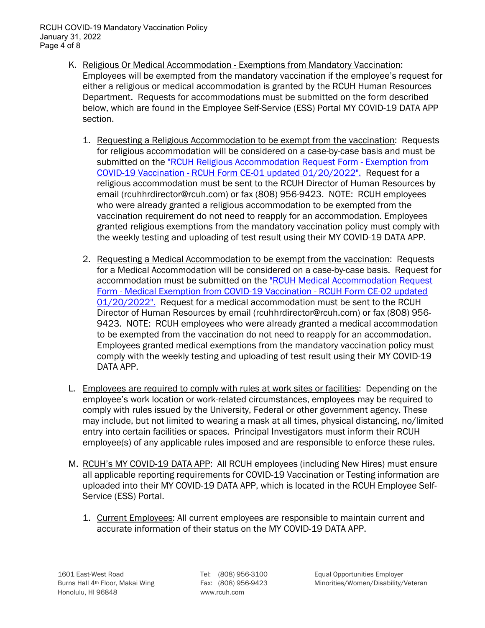RCUH COVID-19 Mandatory Vaccination Policy January 31, 2022 Page 4 of 8

- K. Religious Or Medical Accommodation Exemptions from Mandatory Vaccination: Employees will be exempted from the mandatory vaccination if the employee's request for either a religious or medical accommodation is granted by the RCUH Human Resources Department. Requests for accommodations must be submitted on the form described below, which are found in the Employee Self-Service (ESS) Portal MY COVID-19 DATA APP section.
	- 1. Requesting a Religious Accommodation to be exempt from the vaccination: Requests for religious accommodation will be considered on a case-by-case basis and must be submitted on the ["RCUH Religious Accommodation Request Form -](https://www.rcuh.com/wp-content/uploads/2022/01/RCUH-Form-CE-01_COVID-19-Vaccination-Religious-Exemption-Request_01.20.2022_.pdf) Exemption from COVID-19 Vaccination - [RCUH Form CE-01 updated 01/20/2022".](https://www.rcuh.com/wp-content/uploads/2022/01/RCUH-Form-CE-01_COVID-19-Vaccination-Religious-Exemption-Request_01.20.2022_.pdf) Request for a religious accommodation must be sent to the RCUH Director of Human Resources by email (rcuhhrdirector@rcuh.com) or fax (808) 956-9423. NOTE: RCUH employees who were already granted a religious accommodation to be exempted from the vaccination requirement do not need to reapply for an accommodation. Employees granted religious exemptions from the mandatory vaccination policy must comply with the weekly testing and uploading of test result using their MY COVID-19 DATA APP.
	- 2. Requesting a Medical Accommodation to be exempt from the vaccination: Requests for a Medical Accommodation will be considered on a case-by-case basis. Request for accommodation must be submitted on the ["RCUH Medical Accommodation Request](https://www.rcuh.com/wp-content/uploads/2022/01/RCUH-Form-CE-02_COVID-19-Vaccination-Medical-Exemption-Request_01.20.2022_.pdf)  Form - Medical [Exemption from COVID-19 Vaccination -](https://www.rcuh.com/wp-content/uploads/2022/01/RCUH-Form-CE-02_COVID-19-Vaccination-Medical-Exemption-Request_01.20.2022_.pdf) RCUH Form CE-02 updated [01/20/2022".](https://www.rcuh.com/wp-content/uploads/2022/01/RCUH-Form-CE-02_COVID-19-Vaccination-Medical-Exemption-Request_01.20.2022_.pdf) Request for a medical accommodation must be sent to the RCUH Director of Human Resources by email (rcuhhrdirector@rcuh.com) or fax (808) 956- 9423. NOTE: RCUH employees who were already granted a medical accommodation to be exempted from the vaccination do not need to reapply for an accommodation. Employees granted medical exemptions from the mandatory vaccination policy must comply with the weekly testing and uploading of test result using their MY COVID-19 DATA APP.
- L. Employees are required to comply with rules at work sites or facilities: Depending on the employee's work location or work-related circumstances, employees may be required to comply with rules issued by the University, Federal or other government agency. These may include, but not limited to wearing a mask at all times, physical distancing, no/limited entry into certain facilities or spaces. Principal Investigators must inform their RCUH employee(s) of any applicable rules imposed and are responsible to enforce these rules.
- M. RCUH's MY COVID-19 DATA APP: All RCUH employees (including New Hires) must ensure all applicable reporting requirements for COVID-19 Vaccination or Testing information are uploaded into their MY COVID-19 DATA APP, which is located in the RCUH Employee Self-Service (ESS) Portal.
	- 1. Current Employees: All current employees are responsible to maintain current and accurate information of their status on the MY COVID-19 DATA APP.

Burns Hall 4<sup>th</sup> Floor, Makai Wing Fax: (808) 956-9423 Minorities/Women/Disability/Veteran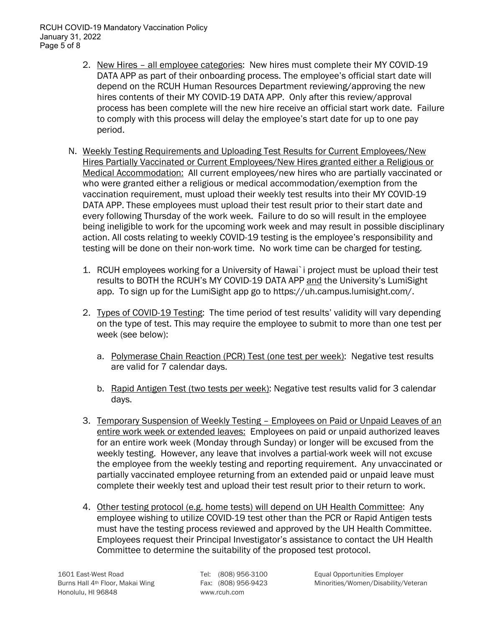RCUH COVID-19 Mandatory Vaccination Policy January 31, 2022 Page 5 of 8

- 2. New Hires all employee categories: New hires must complete their MY COVID-19 DATA APP as part of their onboarding process. The employee's official start date will depend on the RCUH Human Resources Department reviewing/approving the new hires contents of their MY COVID-19 DATA APP. Only after this review/approval process has been complete will the new hire receive an official start work date. Failure to comply with this process will delay the employee's start date for up to one pay period.
- N. Weekly Testing Requirements and Uploading Test Results for Current Employees/New Hires Partially Vaccinated or Current Employees/New Hires granted either a Religious or Medical Accommodation: All current employees/new hires who are partially vaccinated or who were granted either a religious or medical accommodation/exemption from the vaccination requirement, must upload their weekly test results into their MY COVID-19 DATA APP. These employees must upload their test result prior to their start date and every following Thursday of the work week. Failure to do so will result in the employee being ineligible to work for the upcoming work week and may result in possible disciplinary action. All costs relating to weekly COVID-19 testing is the employee's responsibility and testing will be done on their non-work time. No work time can be charged for testing.
	- 1. RCUH employees working for a University of Hawai`i project must be upload their test results to BOTH the RCUH's MY COVID-19 DATA APP and the University's LumiSight app. To sign up for the LumiSight app go to https://uh.campus.lumisight.com/.
	- 2. Types of COVID-19 Testing: The time period of test results' validity will vary depending on the type of test. This may require the employee to submit to more than one test per week (see below):
		- a. Polymerase Chain Reaction (PCR) Test (one test per week): Negative test results are valid for 7 calendar days.
		- b. Rapid Antigen Test (two tests per week): Negative test results valid for 3 calendar days.
	- 3. Temporary Suspension of Weekly Testing Employees on Paid or Unpaid Leaves of an entire work week or extended leaves: Employees on paid or unpaid authorized leaves for an entire work week (Monday through Sunday) or longer will be excused from the weekly testing. However, any leave that involves a partial-work week will not excuse the employee from the weekly testing and reporting requirement. Any unvaccinated or partially vaccinated employee returning from an extended paid or unpaid leave must complete their weekly test and upload their test result prior to their return to work.
	- 4. Other testing protocol (e.g. home tests) will depend on UH Health Committee: Any employee wishing to utilize COVID-19 test other than the PCR or Rapid Antigen tests must have the testing process reviewed and approved by the UH Health Committee. Employees request their Principal Investigator's assistance to contact the UH Health Committee to determine the suitability of the proposed test protocol.

Burns Hall 4<sup>th</sup> Floor, Makai Wing Fax: (808) 956-9423 Minorities/Women/Disability/Veteran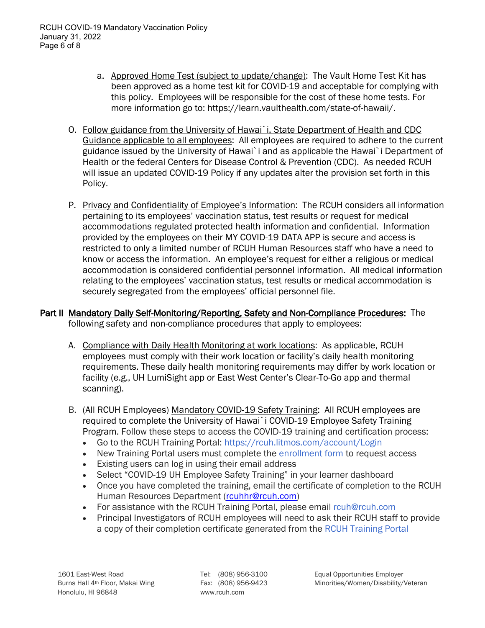- a. Approved Home Test (subject to update/change): The Vault Home Test Kit has been approved as a home test kit for COVID-19 and acceptable for complying with this policy. Employees will be responsible for the cost of these home tests. For more information go to: https://learn.vaulthealth.com/state-of-hawaii/.
- O. Follow guidance from the University of Hawai`i, State Department of Health and CDC Guidance applicable to all employees: All employees are required to adhere to the current guidance issued by the University of Hawai`i and as applicable the Hawai`i Department of Health or the federal Centers for Disease Control & Prevention (CDC). As needed RCUH will issue an updated COVID-19 Policy if any updates alter the provision set forth in this Policy.
- P. Privacy and Confidentiality of Employee's Information: The RCUH considers all information pertaining to its employees' vaccination status, test results or request for medical accommodations regulated protected health information and confidential. Information provided by the employees on their MY COVID-19 DATA APP is secure and access is restricted to only a limited number of RCUH Human Resources staff who have a need to know or access the information. An employee's request for either a religious or medical accommodation is considered confidential personnel information. All medical information relating to the employees' vaccination status, test results or medical accommodation is securely segregated from the employees' official personnel file.

## Part II Mandatory Daily Self-Monitoring/Reporting, Safety and Non-Compliance Procedures: The following safety and non-compliance procedures that apply to employees:

- A. Compliance with Daily Health Monitoring at work locations: As applicable, RCUH employees must comply with their work location or facility's daily health monitoring requirements. These daily health monitoring requirements may differ by work location or facility (e.g., UH LumiSight app or East West Center's Clear-To-Go app and thermal scanning).
- B. (All RCUH Employees) Mandatory COVID-19 Safety Training: All RCUH employees are required to complete the University of Hawai`i COVID-19 Employee Safety Training Program. Follow these steps to access the COVID-19 training and certification process:
	- Go to the RCUH Training Portal: https://rcuh.litmos.com/account/Login
	- New Training Portal users must complete the enrollment form to request access
	- Existing users can log in using their email address
	- Select "COVID-19 UH Employee Safety Training" in your learner dashboard
	- Once you have completed the training, email the certificate of completion to the RCUH Human Resources Department (rouhhr@rcuh.com)
	- For assistance with the RCUH Training Portal, please email rcuh@rcuh.com
	- Principal Investigators of RCUH employees will need to ask their RCUH staff to provide a copy of their completion certificate generated from the RCUH Training Portal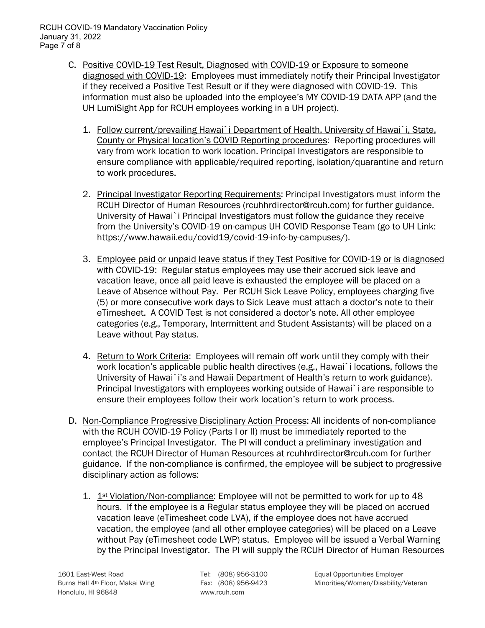- C. Positive COVID-19 Test Result, Diagnosed with COVID-19 or Exposure to someone diagnosed with COVID-19: Employees must immediately notify their Principal Investigator if they received a Positive Test Result or if they were diagnosed with COVID-19. This information must also be uploaded into the employee's MY COVID-19 DATA APP (and the UH LumiSight App for RCUH employees working in a UH project).
	- 1. Follow current/prevailing Hawai`i Department of Health, University of Hawai`i, State, County or Physical location's COVID Reporting procedures: Reporting procedures will vary from work location to work location. Principal Investigators are responsible to ensure compliance with applicable/required reporting, isolation/quarantine and return to work procedures.
	- 2. Principal Investigator Reporting Requirements: Principal Investigators must inform the RCUH Director of Human Resources (rcuhhrdirector@rcuh.com) for further guidance. University of Hawai`i Principal Investigators must follow the guidance they receive from the University's COVID-19 on-campus UH COVID Response Team (go to UH Link: https://www.hawaii.edu/covid19/covid-19-info-by-campuses/).
	- 3. Employee paid or unpaid leave status if they Test Positive for COVID-19 or is diagnosed with COVID-19: Regular status employees may use their accrued sick leave and vacation leave, once all paid leave is exhausted the employee will be placed on a Leave of Absence without Pay. Per RCUH Sick Leave Policy, employees charging five (5) or more consecutive work days to Sick Leave must attach a doctor's note to their eTimesheet. A COVID Test is not considered a doctor's note. All other employee categories (e.g., Temporary, Intermittent and Student Assistants) will be placed on a Leave without Pay status.
	- 4. Return to Work Criteria: Employees will remain off work until they comply with their work location's applicable public health directives (e.g., Hawai`i locations, follows the University of Hawai`i's and Hawaii Department of Health's return to work guidance). Principal Investigators with employees working outside of Hawai`i are responsible to ensure their employees follow their work location's return to work process.
- D. Non-Compliance Progressive Disciplinary Action Process: All incidents of non-compliance with the RCUH COVID-19 Policy (Parts I or II) must be immediately reported to the employee's Principal Investigator. The PI will conduct a preliminary investigation and contact the RCUH Director of Human Resources at rcuhhrdirector@rcuh.com for further guidance. If the non-compliance is confirmed, the employee will be subject to progressive disciplinary action as follows:
	- 1.  $1^{st}$  Violation/Non-compliance: Employee will not be permitted to work for up to 48 hours. If the employee is a Regular status employee they will be placed on accrued vacation leave (eTimesheet code LVA), if the employee does not have accrued vacation, the employee (and all other employee categories) will be placed on a Leave without Pay (eTimesheet code LWP) status. Employee will be issued a Verbal Warning by the Principal Investigator. The PI will supply the RCUH Director of Human Resources

1601 East-West Road Tel: (808) 956-3100 Equal Opportunities Employer Burns Hall 4<sup>th</sup> Floor, Makai Wing Fax: (808) 956-9423 Minorities/Women/Disability/Veteran